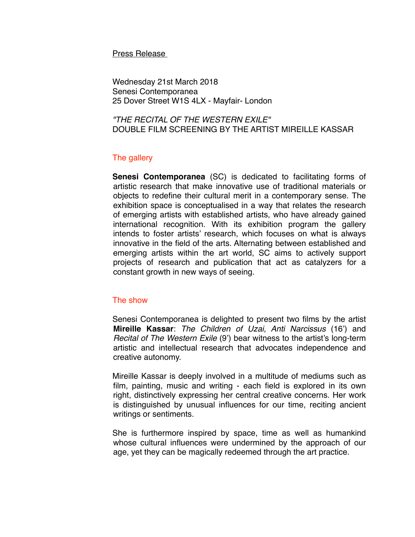Press Release

Wednesday 21st March 2018 Senesi Contemporanea 25 Dover Street W1S 4LX - Mayfair- London

*"THE RECITAL OF THE WESTERN EXILE"* DOUBLE FILM SCREENING BY THE ARTIST MIREILLE KASSAR

# The gallery

**Senesi Contemporanea** (SC) is dedicated to facilitating forms of artistic research that make innovative use of traditional materials or objects to redefine their cultural merit in a contemporary sense. The exhibition space is conceptualised in a way that relates the research of emerging artists with established artists, who have already gained international recognition. With its exhibition program the gallery intends to foster artists' research, which focuses on what is always innovative in the field of the arts. Alternating between established and emerging artists within the art world, SC aims to actively support projects of research and publication that act as catalyzers for a constant growth in new ways of seeing.

## The show

Senesi Contemporanea is delighted to present two films by the artist **Mireille Kassar**: *The Children of Uzai, Anti Narcissus* (16') and *Recital of The Western Exile* (9') bear witness to the artist's long-term artistic and intellectual research that advocates independence and creative autonomy.

Mireille Kassar is deeply involved in a multitude of mediums such as film, painting, music and writing - each field is explored in its own right, distinctively expressing her central creative concerns. Her work is distinguished by unusual influences for our time, reciting ancient writings or sentiments.

She is furthermore inspired by space, time as well as humankind whose cultural influences were undermined by the approach of our age, yet they can be magically redeemed through the art practice.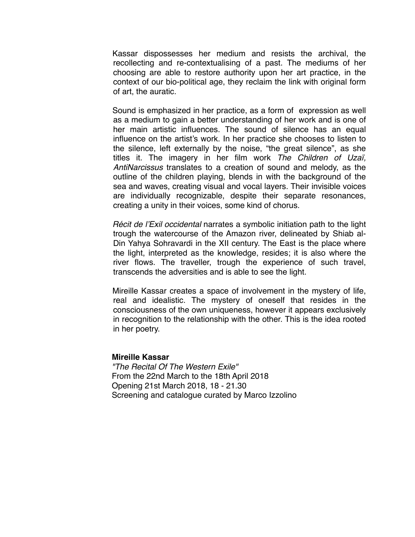Kassar dispossesses her medium and resists the archival, the recollecting and re-contextualising of a past. The mediums of her choosing are able to restore authority upon her art practice, in the context of our bio-political age, they reclaim the link with original form of art, the auratic.

Sound is emphasized in her practice, as a form of expression as well as a medium to gain a better understanding of her work and is one of her main artistic influences. The sound of silence has an equal influence on the artist's work. In her practice she chooses to listen to the silence, left externally by the noise, "the great silence", as she titles it. The imagery in her film work *The Children of Uzaï, AntiNarcissus* translates to a creation of sound and melody, as the outline of the children playing, blends in with the background of the sea and waves, creating visual and vocal layers. Their invisible voices are individually recognizable, despite their separate resonances, creating a unity in their voices, some kind of chorus.

*Récit de l'Exil occidental* narrates a symbolic initiation path to the light trough the watercourse of the Amazon river, delineated by Shiab al-Din Yahya Sohravardi in the XII century. The East is the place where the light, interpreted as the knowledge, resides; it is also where the river flows. The traveller, trough the experience of such travel, transcends the adversities and is able to see the light.

Mireille Kassar creates a space of involvement in the mystery of life, real and idealistic. The mystery of oneself that resides in the consciousness of the own uniqueness, however it appears exclusively in recognition to the relationship with the other. This is the idea rooted in her poetry.

#### **Mireille Kassar**

*"The Recital Of The Western Exile"* From the 22nd March to the 18th April 2018 Opening 21st March 2018, 18 - 21.30 Screening and catalogue curated by Marco Izzolino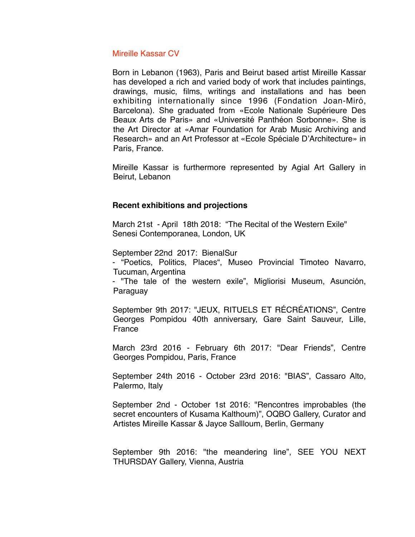### Mireille Kassar CV

Born in Lebanon (1963), Paris and Beirut based artist Mireille Kassar has developed a rich and varied body of work that includes paintings, drawings, music, films, writings and installations and has been exhibiting internationally since 1996 (Fondation Joan-Miró, Barcelona). She graduated from «Ecole Nationale Supérieure Des Beaux Arts de Paris» and «Université Panthéon Sorbonne». She is the Art Director at «Amar Foundation for Arab Music Archiving and Research» and an Art Professor at «Ecole Spéciale D'Architecture» in Paris, France.

Mireille Kassar is furthermore represented by Agial Art Gallery in Beirut, Lebanon

## **Recent exhibitions and projections**

March 21st - April 18th 2018: "The Recital of the Western Exile" Senesi Contemporanea, London, UK

September 22nd 2017: BienalSur

- "Poetics, Politics, Places", Museo Provincial Timoteo Navarro, Tucuman, Argentina

- "The tale of the western exile", Migliorisi Museum, Asunción, Paraguay

September 9th 2017: "JEUX, RITUELS ET RÉCRÉATIONS", Centre Georges Pompidou 40th anniversary, Gare Saint Sauveur, Lille, France

March 23rd 2016 - February 6th 2017: "Dear Friends", Centre Georges Pompidou, Paris, France

September 24th 2016 - October 23rd 2016: "BIAS", Cassaro Alto, Palermo, Italy

September 2nd - October 1st 2016: "Rencontres improbables (the secret encounters of Kusama Kalthoum)", OQBO Gallery, Curator and Artistes Mireille Kassar & Jayce Sallloum, Berlin, Germany

September 9th 2016: "the meandering line", SEE YOU NEXT THURSDAY Gallery, Vienna, Austria